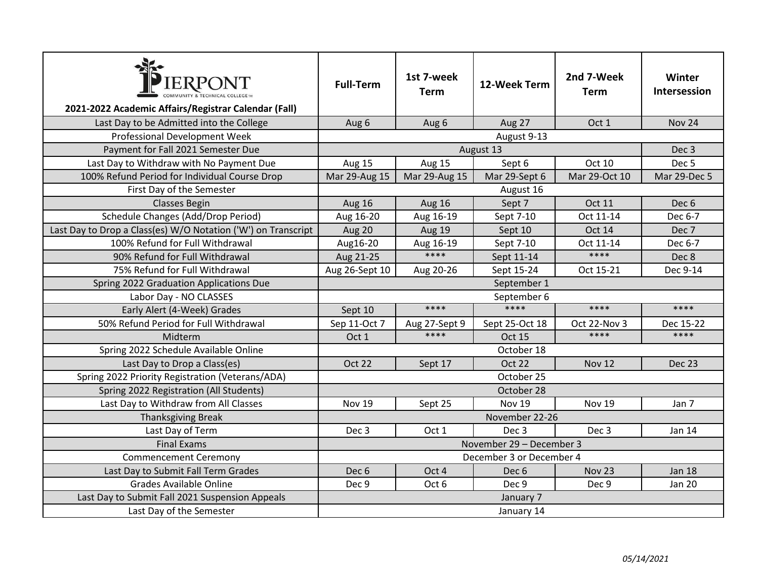| <b>IERPONT</b><br>2021-2022 Academic Affairs/Registrar Calendar (Fall)    | <b>Full-Term</b>                             | 1st 7-week<br><b>Term</b> | 12-Week Term     | 2nd 7-Week<br><b>Term</b> | Winter<br>Intersession |
|---------------------------------------------------------------------------|----------------------------------------------|---------------------------|------------------|---------------------------|------------------------|
|                                                                           |                                              |                           |                  | Oct 1                     | <b>Nov 24</b>          |
| Last Day to be Admitted into the College<br>Professional Development Week | Aug 6                                        | Aug 6                     | Aug 27           |                           |                        |
| Payment for Fall 2021 Semester Due                                        | August 9-13<br>August 13<br>Dec <sub>3</sub> |                           |                  |                           |                        |
| Last Day to Withdraw with No Payment Due                                  | Aug 15                                       | Aug 15                    | Sept 6           | Oct 10                    | Dec <sub>5</sub>       |
| 100% Refund Period for Individual Course Drop                             | Mar 29-Aug 15                                | Mar 29-Aug 15             | Mar 29-Sept 6    | Mar 29-Oct 10             | Mar 29-Dec 5           |
| First Day of the Semester                                                 | August 16                                    |                           |                  |                           |                        |
| <b>Classes Begin</b>                                                      | <b>Aug 16</b>                                | <b>Aug 16</b>             | Sept 7           | <b>Oct 11</b>             | Dec 6                  |
| Schedule Changes (Add/Drop Period)                                        | Aug 16-20                                    | Aug 16-19                 | Sept 7-10        | Oct 11-14                 | Dec 6-7                |
| Last Day to Drop a Class(es) W/O Notation ('W') on Transcript             | Aug 20                                       | Aug 19                    | Sept 10          | <b>Oct 14</b>             | Dec 7                  |
| 100% Refund for Full Withdrawal                                           | Aug16-20                                     | Aug 16-19                 | Sept 7-10        | Oct 11-14                 | Dec 6-7                |
| 90% Refund for Full Withdrawal                                            | Aug 21-25                                    | $****$                    | Sept 11-14       | $***$                     | Dec 8                  |
| 75% Refund for Full Withdrawal                                            | Aug 26-Sept 10                               | Aug 20-26                 | Sept 15-24       | Oct 15-21                 | Dec 9-14               |
| Spring 2022 Graduation Applications Due                                   | September 1                                  |                           |                  |                           |                        |
| Labor Day - NO CLASSES                                                    | September 6                                  |                           |                  |                           |                        |
| Early Alert (4-Week) Grades                                               | Sept 10                                      | ****                      | ****             | ****                      | ****                   |
| 50% Refund Period for Full Withdrawal                                     | Sep 11-Oct 7                                 | Aug 27-Sept 9             | Sept 25-Oct 18   | Oct 22-Nov 3              | Dec 15-22              |
| Midterm                                                                   | Oct 1                                        | ****                      | <b>Oct 15</b>    | ****                      | ****                   |
| Spring 2022 Schedule Available Online                                     | October 18                                   |                           |                  |                           |                        |
| Last Day to Drop a Class(es)                                              | <b>Oct 22</b>                                | Sept 17                   | Oct 22           | <b>Nov 12</b>             | Dec 23                 |
| Spring 2022 Priority Registration (Veterans/ADA)                          | October 25                                   |                           |                  |                           |                        |
| Spring 2022 Registration (All Students)                                   | October 28                                   |                           |                  |                           |                        |
| Last Day to Withdraw from All Classes                                     | <b>Nov 19</b>                                | Sept 25                   | <b>Nov 19</b>    | Nov 19                    | Jan 7                  |
| <b>Thanksgiving Break</b>                                                 | November 22-26                               |                           |                  |                           |                        |
| Last Day of Term                                                          | Dec <sub>3</sub>                             | Oct 1                     | Dec <sub>3</sub> | Dec <sub>3</sub>          | Jan 14                 |
| <b>Final Exams</b>                                                        | November 29 - December 3                     |                           |                  |                           |                        |
| <b>Commencement Ceremony</b>                                              | December 3 or December 4                     |                           |                  |                           |                        |
| Last Day to Submit Fall Term Grades                                       | Dec <sub>6</sub>                             | Oct 4                     | Dec <sub>6</sub> | Nov <sub>23</sub>         | <b>Jan 18</b>          |
| <b>Grades Available Online</b>                                            | Dec 9                                        | Oct 6                     | Dec <sub>9</sub> | Dec 9                     | <b>Jan 20</b>          |
| Last Day to Submit Fall 2021 Suspension Appeals                           | January 7                                    |                           |                  |                           |                        |
| Last Day of the Semester                                                  | January 14                                   |                           |                  |                           |                        |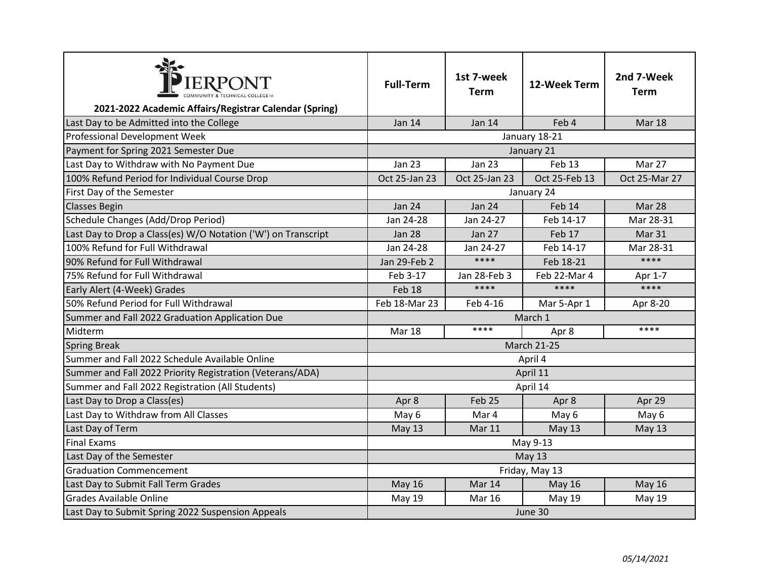| PIERPONT                                                      | <b>Full-Term</b>                | 1st 7-week<br><b>Term</b> | 12-Week Term      | 2nd 7-Week<br><b>Term</b> |
|---------------------------------------------------------------|---------------------------------|---------------------------|-------------------|---------------------------|
| 2021-2022 Academic Affairs/Registrar Calendar (Spring)        |                                 |                           |                   |                           |
| Last Day to be Admitted into the College                      | Jan 14                          | Jan 14                    | Feb 4             | Mar 18                    |
| <b>Professional Development Week</b>                          | January 18-21                   |                           |                   |                           |
| Payment for Spring 2021 Semester Due                          | January 21                      |                           |                   |                           |
| Last Day to Withdraw with No Payment Due                      | <b>Jan 23</b>                   | <b>Jan 23</b>             | Feb <sub>13</sub> | Mar 27                    |
| 100% Refund Period for Individual Course Drop                 | Oct 25-Jan 23                   | Oct 25-Jan 23             | Oct 25-Feb 13     | Oct 25-Mar 27             |
| First Day of the Semester                                     | January 24                      |                           |                   |                           |
| <b>Classes Begin</b>                                          | <b>Jan 24</b>                   | <b>Jan 24</b>             | Feb 14            | Mar 28                    |
| Schedule Changes (Add/Drop Period)                            | Jan 24-28                       | Jan 24-27                 | Feb 14-17         | Mar 28-31                 |
| Last Day to Drop a Class(es) W/O Notation ('W') on Transcript | <b>Jan 28</b>                   | <b>Jan 27</b>             | Feb 17            | Mar 31                    |
| 100% Refund for Full Withdrawal                               | Jan 24-28                       | Jan 24-27                 | Feb 14-17         | Mar 28-31                 |
| 90% Refund for Full Withdrawal                                | Jan 29-Feb 2                    | $****$                    | Feb 18-21         | $****$                    |
| 75% Refund for Full Withdrawal                                | Feb 3-17                        | Jan 28-Feb 3              | Feb 22-Mar 4      | Apr 1-7                   |
| Early Alert (4-Week) Grades                                   | Feb 18                          | ****                      | $***$             | $****$                    |
| 50% Refund Period for Full Withdrawal                         | Feb 18-Mar 23                   | Feb 4-16                  | Mar 5-Apr 1       | Apr 8-20                  |
| Summer and Fall 2022 Graduation Application Due               | March 1                         |                           |                   |                           |
| Midterm                                                       | ****<br>****<br>Mar 18<br>Apr 8 |                           |                   |                           |
| <b>Spring Break</b>                                           | <b>March 21-25</b>              |                           |                   |                           |
| Summer and Fall 2022 Schedule Available Online                | April 4                         |                           |                   |                           |
| Summer and Fall 2022 Priority Registration (Veterans/ADA)     | April 11                        |                           |                   |                           |
| Summer and Fall 2022 Registration (All Students)              | April 14                        |                           |                   |                           |
| Last Day to Drop a Class(es)                                  | Apr 8                           | Feb <sub>25</sub>         | Apr 8             | Apr 29                    |
| Last Day to Withdraw from All Classes                         | May 6                           | Mar 4                     | May 6             | May 6                     |
| Last Day of Term                                              | May 13                          | Mar 11                    | <b>May 13</b>     | <b>May 13</b>             |
| <b>Final Exams</b>                                            | May 9-13                        |                           |                   |                           |
| Last Day of the Semester                                      | May 13                          |                           |                   |                           |
| <b>Graduation Commencement</b>                                | Friday, May 13                  |                           |                   |                           |
| Last Day to Submit Fall Term Grades                           | <b>May 16</b>                   | Mar 14                    | <b>May 16</b>     | <b>May 16</b>             |
| <b>Grades Available Online</b>                                | <b>May 19</b>                   | <b>Mar 16</b>             | May 19            | May 19                    |
| Last Day to Submit Spring 2022 Suspension Appeals             | June 30                         |                           |                   |                           |